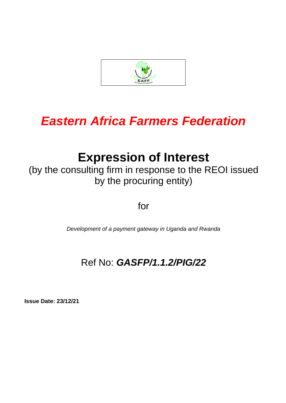

# *Eastern Africa Farmers Federation*

# **Expression of Interest**

(by the consulting firm in response to the REOI issued by the procuring entity)

for

*Development of a payment gateway in Uganda and Rwanda*

# Ref No: *GASFP/1.1.2/PIG/22*

**Issue Date: 23/12/21**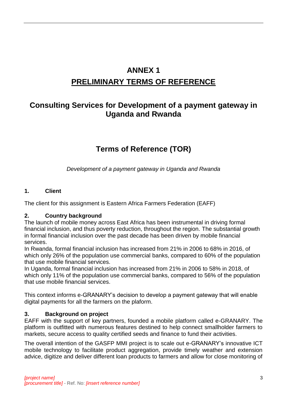## **ANNEX 1 PRELIMINARY TERMS OF REFERENCE**

### **Consulting Services for Development of a payment gateway in Uganda and Rwanda**

### **Terms of Reference (TOR)**

*Development of a payment gateway in Uganda and Rwanda*

#### **1. Client**

The client for this assignment is Eastern Africa Farmers Federation (EAFF)

#### **2. Country background**

The launch of mobile money across East Africa has been instrumental in driving formal financial inclusion, and thus poverty reduction, throughout the region. The substantial growth in formal financial inclusion over the past decade has been driven by mobile financial services.

In Rwanda, formal financial inclusion has increased from 21% in 2006 to 68% in 2016, of which only 26% of the population use commercial banks, compared to 60% of the population that use mobile financial services.

In Uganda, formal financial inclusion has increased from 21% in 2006 to 58% in 2018, of which only 11% of the population use commercial banks, compared to 56% of the population that use mobile financial services.

This context informs e-GRANARY's decision to develop a payment gateway that will enable digital payments for all the farmers on the plaform.

#### **3. Background on project**

EAFF with the support of key partners, founded a mobile platform called e-GRANARY. The platform is outfitted with numerous features destined to help connect smallholder farmers to markets, secure access to quality certified seeds and finance to fund their activities.

The overall intention of the GASFP MMI project is to scale out e-GRANARY's innovative ICT mobile technology to facilitate product aggregation, provide timely weather and extension advice, digitize and deliver different loan products to farmers and allow for close monitoring of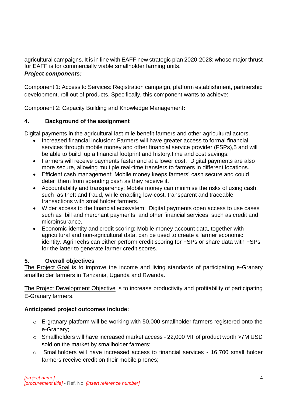agricultural campaigns. It is in line with EAFF new strategic plan 2020-2028; whose major thrust for EAFF is for commercially viable smallholder farming units. *Project components:*

Component 1: Access to Services: Registration campaign, platform establishment, partnership development, roll out of products. Specifically, this component wants to achieve:

Component 2: Capacity Building and Knowledge Management**:** 

#### **4. Background of the assignment**

Digital payments in the agricultural last mile benefit farmers and other agricultural actors.

- Increased financial inclusion: Farmers will have greater access to formal financial services through mobile money and other financial service provider (FSPs),5 and will be able to build up a financial footprint and history.time and cost savings:
- Farmers will receive payments faster and at a lower cost. Digital payments are also more secure, allowing multiple real-time transfers to farmers in different locations.
- Efficient cash management: Mobile money keeps farmers' cash secure and could deter them from spending cash as they receive it.
- Accountability and transparency: Mobile money can minimise the risks of using cash, such as theft and fraud, while enabling low-cost, transparent and traceable transactions with smallholder farmers.
- Wider access to the financial ecosystem: Digital payments open access to use cases such as bill and merchant payments, and other financial services, such as credit and microinsurance.
- Economic identity and credit scoring: Mobile money account data, together with agricultural and non-agricultural data, can be used to create a farmer economic identity. AgriTechs can either perform credit scoring for FSPs or share data with FSPs for the latter to generate farmer credit scores.

#### **5. Overall objectives**

The Project Goal is to improve the income and living standards of participating e-Granary smallholder farmers in Tanzania, Uganda and Rwanda.

The Project Development Objective is to increase productivity and profitability of participating E-Granary farmers.

### **Anticipated project outcomes include:**

- o E-granary platform will be working with 50,000 smallholder farmers registered onto the e-Granary;
- o Smallholders will have increased market access 22,000 MT of product worth >7M USD sold on the market by smallholder farmers;
- o Smallholders will have increased access to financial services 16,700 small holder farmers receive credit on their mobile phones;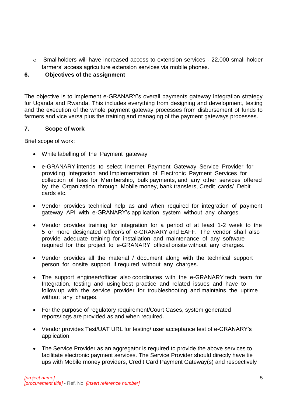o Smallholders will have increased access to extension services - 22,000 small holder farmers' access agriculture extension services via mobile phones.

#### **6. Objectives of the assignment**

The objective is to implement e-GRANARY's overall payments gateway integration strategy for Uganda and Rwanda. This includes everything from designing and development, testing and the execution of the whole payment gateway processes from disbursement of funds to farmers and vice versa plus the training and managing of the payment gateways processes.

#### **7. Scope of work**

Brief scope of work:

- White labelling of the Payment gateway
- e-GRANARY intends to select Internet Payment Gateway Service Provider for providing Integration and Implementation of Electronic Payment Services for collection of fees for Membership, bulk payments, and any other services offered by the Organization through Mobile money, bank transfers, Credit cards/ Debit cards etc.
- Vendor provides technical help as and when required for integration of payment gateway API with e-GRANARY's application system without any charges.
- Vendor provides training for integration for a period of at least 1-2 week to the 5 or more designated officer/s of e-GRANARY and EAFF. The vendor shall also provide adequate training for installation and maintenance of any software required for this project to e-GRANARY official onsite without any charges.
- Vendor provides all the material / document along with the technical support person for onsite support if required without any charges.
- The support engineer/officer also coordinates with the e-GRANARY tech team for Integration, testing and using best practice and related issues and have to follow up with the service provider for troubleshooting and maintains the uptime without any charges.
- For the purpose of regulatory requirement/Court Cases, system generated reports/logs are provided as and when required.
- Vendor provides Test/UAT URL for testing/ user acceptance test of e-GRANARY's application.
- The Service Provider as an aggregator is required to provide the above services to facilitate electronic payment services. The Service Provider should directly have tie ups with Mobile money providers, Credit Card Payment Gateway(s) and respectively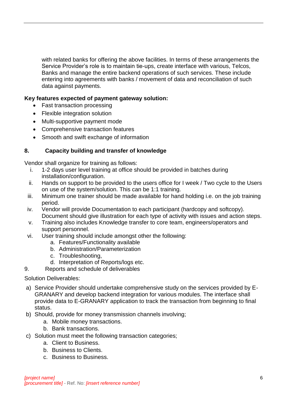with related banks for offering the above facilities. In terms of these arrangements the Service Provider's role is to maintain tie-ups, create interface with various, Telcos, Banks and manage the entire backend operations of such services. These include entering into agreements with banks / movement of data and reconciliation of such data against payments.

#### **Key features expected of payment gateway solution:**

- Fast transaction processing
- Flexible integration solution
- Multi-supportive payment mode
- Comprehensive transaction features
- Smooth and swift exchange of information

#### **8. Capacity building and transfer of knowledge**

Vendor shall organize for training as follows:

- i. 1-2 days user level training at office should be provided in batches during installation/configuration.
- ii. Hands on support to be provided to the users office for I week / Two cycle to the Users on use of the system/solution. This can be 1:1 training.
- iii. Minimum one trainer should be made available for hand holding i.e. on the job training period.
- iv. Vendor will provide Documentation to each participant (hardcopy and softcopy). Document should give illustration for each type of activity with issues and action steps.
- v. Training also includes Knowledge transfer to core team, engineers/operators and support personnel.
- vi. User training should include amongst other the following:
	- a. Features/Functionality available
	- b. Administration/Parameterization
	- c. Troubleshooting,
	- d. Interpretation of Reports/logs etc.
- 9. Reports and schedule of deliverables

#### Solution Deliverables:

- a) Service Provider should undertake comprehensive study on the services provided by E-GRANARY and develop backend integration for various modules. The interface shall provide data to E-GRANARY application to track the transaction from beginning to final status.
- b) Should, provide for money transmission channels involving;
	- a. Mobile money transactions.
	- b. Bank transactions.
- c) Solution must meet the following transaction categories;
	- a. Client to Business.
	- b. Business to Clients.
	- c. Business to Business.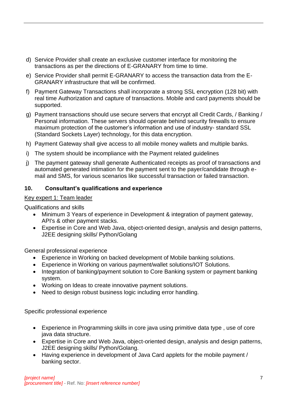- d) Service Provider shall create an exclusive customer interface for monitoring the transactions as per the directions of E-GRANARY from time to time.
- e) Service Provider shall permit E-GRANARY to access the transaction data from the E-GRANARY infrastructure that will be confirmed.
- f) Payment Gateway Transactions shall incorporate a strong SSL encryption (128 bit) with real time Authorization and capture of transactions. Mobile and card payments should be supported.
- g) Payment transactions should use secure servers that encrypt all Credit Cards, / Banking / Personal information. These servers should operate behind security firewalls to ensure maximum protection of the customer's information and use of industry- standard SSL (Standard Sockets Layer) technology, for this data encryption.
- h) Payment Gateway shall give access to all mobile money wallets and multiple banks.
- i) The system should be incompliance with the Payment related guidelines
- j) The payment gateway shall generate Authenticated receipts as proof of transactions and automated generated intimation for the payment sent to the payer/candidate through email and SMS, for various scenarios like successful transaction or failed transaction.

#### **10. Consultant's qualifications and experience**

#### Key expert 1: Team leader

Qualifications and skills

- Minimum 3 Years of experience in Development & integration of payment gateway, API's & other payment stacks.
- Expertise in Core and Web Java, object-oriented design, analysis and design patterns, J2EE designing skills/ Python/Golang

General professional experience

- Experience in Working on backed development of Mobile banking solutions.
- Experience in Working on various payment/wallet solutions/IOT Solutions.
- Integration of banking/payment solution to Core Banking system or payment banking system.
- Working on Ideas to create innovative payment solutions.
- Need to design robust business logic including error handling.

Specific professional experience

- Experience in Programming skills in core java using primitive data type , use of core java data structure.
- Expertise in Core and Web Java, object-oriented design, analysis and design patterns, J2EE designing skills/ Python/Golang.
- Having experience in development of Java Card applets for the mobile payment / banking sector.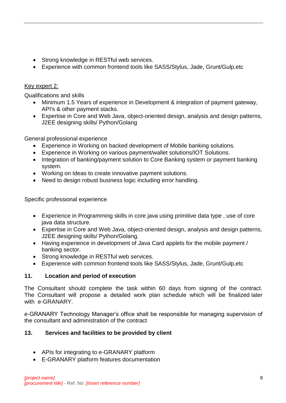- Strong knowledge in RESTful web services.
- Experience with common frontend tools like SASS/Stylus, Jade, Grunt/Gulp,etc

### Key expert 2:

Qualifications and skills

- Minimum 1.5 Years of experience in Development & integration of payment gateway, API's & other payment stacks.
- Expertise in Core and Web Java, object-oriented design, analysis and design patterns, J2EE designing skills/ Python/Golang

General professional experience

- Experience in Working on backed development of Mobile banking solutions.
- Experience in Working on various payment/wallet solutions/IOT Solutions.
- Integration of banking/payment solution to Core Banking system or payment banking system.
- Working on Ideas to create innovative payment solutions.
- Need to design robust business logic including error handling.

Specific professional experience

- Experience in Programming skills in core java using primitive data type , use of core java data structure.
- Expertise in Core and Web Java, object-oriented design, analysis and design patterns, J2EE designing skills/ Python/Golang.
- Having experience in development of Java Card applets for the mobile payment / banking sector.
- Strong knowledge in RESTful web services.
- Experience with common frontend tools like SASS/Stylus, Jade, Grunt/Gulp,etc

### **11. Location and period of execution**

The Consultant should complete the task within 60 days from signing of the contract. The Consultant will propose a detailed work plan schedule which will be finalized later with e-GRANARY.

e-GRANARY Technology Manager's office shall be responsible for managing supervision of the consultant and administration of the contract

### **13. Services and facilities to be provided by client**

- APIs for integrating to e-GRANARY platform
- E-GRANARY platform features documentation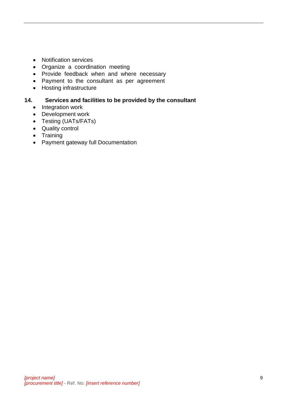- Notification services
- Organize a coordination meeting
- Provide feedback when and where necessary
- Payment to the consultant as per agreement
- Hosting infrastructure

#### **14. Services and facilities to be provided by the consultant**

- Integration work
- Development work
- Testing (UATs/FATs)
- Quality control
- Training
- Payment gateway full Documentation